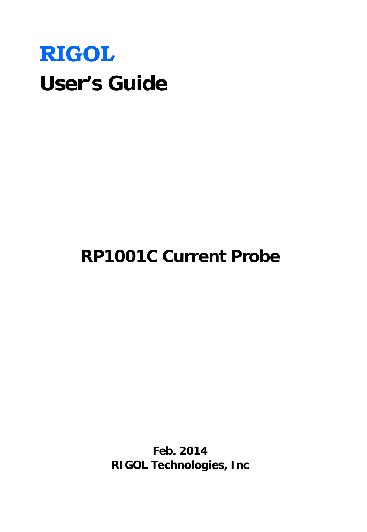# **RIGOL User's Guide**

# **RP1001C Current Probe**

**Feb. 2014 RIGOL Technologies, Inc**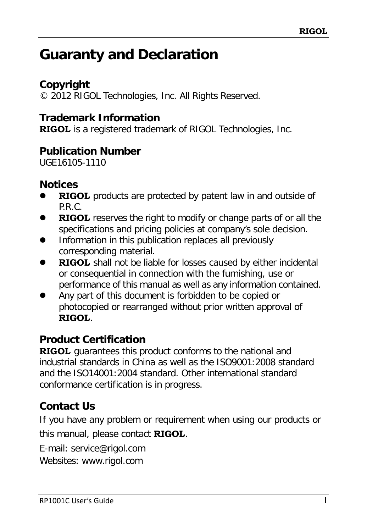# <span id="page-1-0"></span>**Guaranty and Declaration**

### **Copyright**

© 2012 RIGOL Technologies, Inc. All Rights Reserved.

### **Trademark Information**

**RIGOL** is a registered trademark of RIGOL Technologies, Inc.

### **Publication Number**

UGE16105-1110

### **Notices**

- **RIGOL** products are protected by patent law in and outside of P.R.C.
- **RIGOL** reserves the right to modify or change parts of or all the specifications and pricing policies at company's sole decision.
- Information in this publication replaces all previously corresponding material.
- **RIGOL** shall not be liable for losses caused by either incidental or consequential in connection with the furnishing, use or performance of this manual as well as any information contained.
- Any part of this document is forbidden to be copied or photocopied or rearranged without prior written approval of **RIGOL**.

### **Product Certification**

**RIGOL** guarantees this product conforms to the national and industrial standards in China as well as the ISO9001:2008 standard and the ISO14001:2004 standard. Other international standard conformance certification is in progress.

### **Contact Us**

If you have any problem or requirement when using our products or this manual, please contact **RIGOL**.

E-mail: service@rigol.com

Websites: www.rigol.com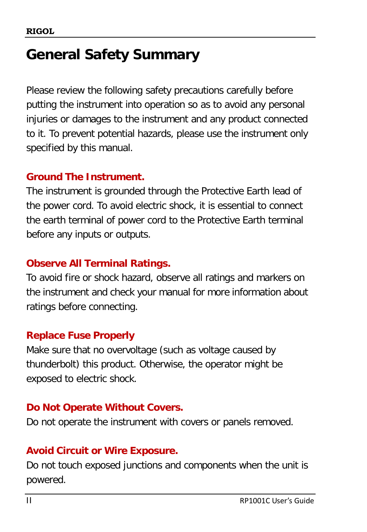# <span id="page-2-0"></span>**General Safety Summary**

Please review the following safety precautions carefully before putting the instrument into operation so as to avoid any personal injuries or damages to the instrument and any product connected to it. To prevent potential hazards, please use the instrument only specified by this manual.

### **Ground The Instrument.**

The instrument is grounded through the Protective Earth lead of the power cord. To avoid electric shock, it is essential to connect the earth terminal of power cord to the Protective Earth terminal before any inputs or outputs.

### **Observe All Terminal Ratings.**

To avoid fire or shock hazard, observe all ratings and markers on the instrument and check your manual for more information about ratings before connecting.

### **Replace Fuse Properly**

Make sure that no overvoltage (such as voltage caused by thunderbolt) this product. Otherwise, the operator might be exposed to electric shock.

### **Do Not Operate Without Covers.**

Do not operate the instrument with covers or panels removed.

### **Avoid Circuit or Wire Exposure.**

Do not touch exposed junctions and components when the unit is powered.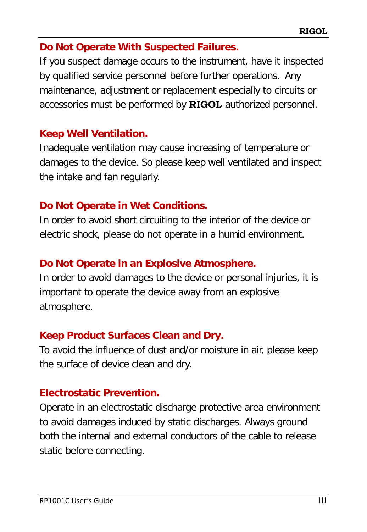### **Do Not Operate With Suspected Failures.**

If you suspect damage occurs to the instrument, have it inspected by qualified service personnel before further operations. Any maintenance, adjustment or replacement especially to circuits or accessories must be performed by **RIGOL** authorized personnel.

### **Keep Well Ventilation.**

Inadequate ventilation may cause increasing of temperature or damages to the device. So please keep well ventilated and inspect the intake and fan regularly.

### **Do Not Operate in Wet Conditions.**

In order to avoid short circuiting to the interior of the device or electric shock, please do not operate in a humid environment.

### **Do Not Operate in an Explosive Atmosphere.**

In order to avoid damages to the device or personal injuries, it is important to operate the device away from an explosive atmosphere.

### **Keep Product Surfaces Clean and Dry.**

To avoid the influence of dust and/or moisture in air, please keep the surface of device clean and dry.

### **Electrostatic Prevention.**

Operate in an electrostatic discharge protective area environment to avoid damages induced by static discharges. Always ground both the internal and external conductors of the cable to release static before connecting.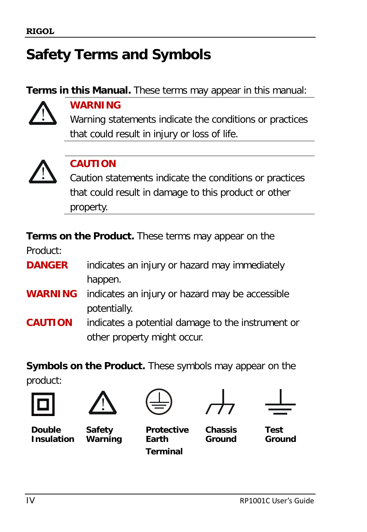# <span id="page-4-0"></span>**Safety Terms and Symbols**

**Terms in this Manual.** These terms may appear in this manual:



### **WARNING**

Warning statements indicate the conditions or practices that could result in injury or loss of life.



### **CAUTION**

Caution statements indicate the conditions or practices that could result in damage to this product or other property.

**Terms on the Product.** These terms may appear on the

Product:

- **DANGER** indicates an injury or hazard may immediately happen.
- **WARNING** indicates an injury or hazard may be accessible potentially.
- **CAUTION** indicates a potential damage to the instrument or other property might occur.

**Symbols on the Product.** These symbols may appear on the

product:









**Double Insulation**

**Safety Warning**

**Protective Earth Terminal**

**Chassis Ground**

**Test Ground**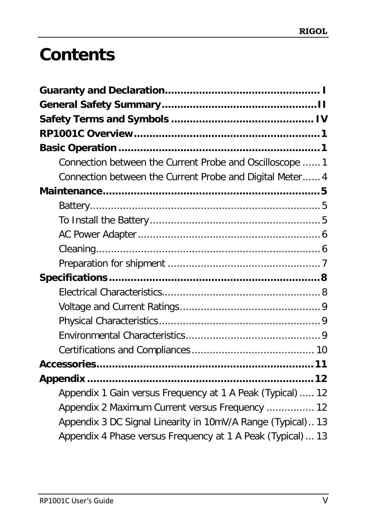# **Contents**

| Connection between the Current Probe and Oscilloscope  1    |
|-------------------------------------------------------------|
| Connection between the Current Probe and Digital Meter 4    |
|                                                             |
|                                                             |
|                                                             |
|                                                             |
|                                                             |
|                                                             |
|                                                             |
|                                                             |
|                                                             |
|                                                             |
|                                                             |
|                                                             |
|                                                             |
|                                                             |
| Appendix 1 Gain versus Frequency at 1 A Peak (Typical)  12  |
| Appendix 2 Maximum Current versus Frequency  12             |
| Appendix 3 DC Signal Linearity in 10mV/A Range (Typical) 13 |
| Appendix 4 Phase versus Frequency at 1 A Peak (Typical) 13  |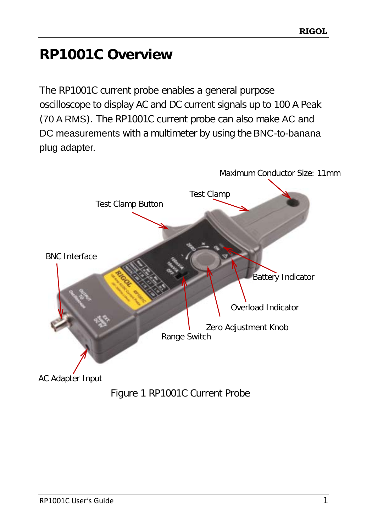# <span id="page-7-0"></span>**RP1001C Overview**

The RP1001C current probe enables a general purpose oscilloscope to display AC and DC current signals up to 100 A Peak (70 A RMS). The RP1001C current probe can also make AC and DC measurements with a multimeter by using the BNC-to-banana plug adapter.



Figure 1 RP1001C Current Probe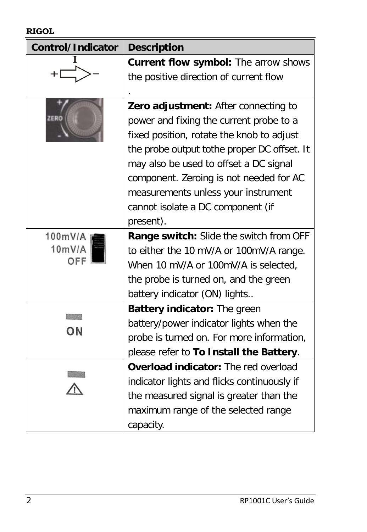#### **RIGOL**

| Control/Indicator | <b>Description</b>                          |
|-------------------|---------------------------------------------|
|                   | Current flow symbol: The arrow shows        |
|                   | the positive direction of current flow      |
|                   |                                             |
|                   | Zero adjustment: After connecting to        |
| ZERO              | power and fixing the current probe to a     |
|                   | fixed position, rotate the knob to adjust   |
|                   | the probe output tothe proper DC offset. It |
|                   | may also be used to offset a DC signal      |
|                   | component. Zeroing is not needed for AC     |
|                   | measurements unless your instrument         |
|                   | cannot isolate a DC component (if           |
|                   | present).                                   |
| 100mV/A           | Range switch: Slide the switch from OFF     |
| 10mV/A            | to either the 10 mV/A or 100mV/A range.     |
| OFF               | When 10 mV/A or 100mV/A is selected,        |
|                   | the probe is turned on, and the green       |
|                   | battery indicator (ON) lights               |
|                   | Battery indicator: The green                |
| ON                | battery/power indicator lights when the     |
|                   | probe is turned on. For more information,   |
|                   | please refer to To Install the Battery.     |
|                   | Overload indicator: The red overload        |
|                   | indicator lights and flicks continuously if |
|                   | the measured signal is greater than the     |
|                   | maximum range of the selected range         |
|                   | capacity.                                   |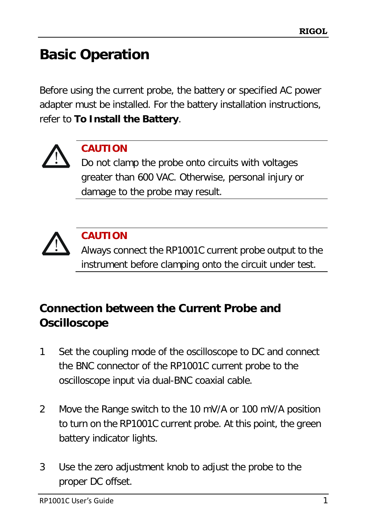# <span id="page-9-0"></span>**Basic Operation**

Before using the current probe, the battery or specified AC power adapter must be installed. For the battery installation instructions, refer to **[To Install the Battery](#page-13-2)**.



### **CAUTION**

Do not clamp the probe onto circuits with voltages greater than 600 VAC. Otherwise, personal injury or damage to the probe may result.



### **CAUTION**

Always connect the RP1001C current probe output to the instrument before clamping onto the circuit under test.

## <span id="page-9-1"></span>**Connection between the Current Probe and Oscilloscope**

- 1 Set the coupling mode of the oscilloscope to DC and connect the BNC connector of the RP1001C current probe to the oscilloscope input via dual-BNC coaxial cable.
- 2 Move the Range switch to the 10 mV/A or 100 mV/A position to turn on the RP1001C current probe. At this point, the green battery indicator lights.
- 3 Use the zero adjustment knob to adjust the probe to the proper DC offset.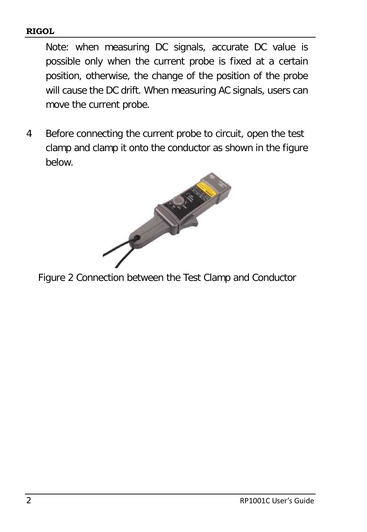#### **RIGOL**

Note: when measuring DC signals, accurate DC value is possible only when the current probe is fixed at a certain position, otherwise, the change of the position of the probe will cause the DC drift. When measuring AC signals, users can move the current probe.

4 Before connecting the current probe to circuit, open the test clamp and clamp it onto the conductor as shown in the figure below.



Figure 2 Connection between the Test Clamp and Conductor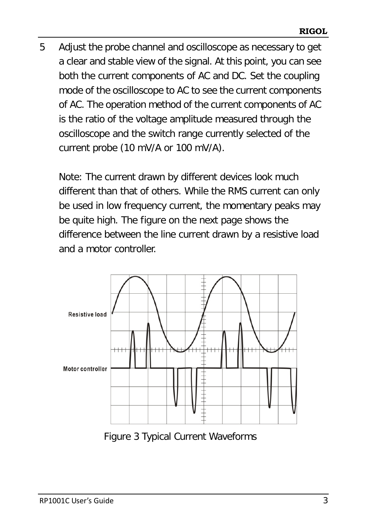5 Adjust the probe channel and oscilloscope as necessary to get a clear and stable view of the signal. At this point, you can see both the current components of AC and DC. Set the coupling mode of the oscilloscope to AC to see the current components of AC. The operation method of the current components of AC is the ratio of the voltage amplitude measured through the oscilloscope and the switch range currently selected of the current probe (10 mV/A or 100 mV/A).

Note: The current drawn by different devices look much different than that of others. While the RMS current can only be used in low frequency current, the momentary peaks may be quite high. The figure on the next page shows the difference between the line current drawn by a resistive load and a motor controller.



Figure 3 Typical Current Waveforms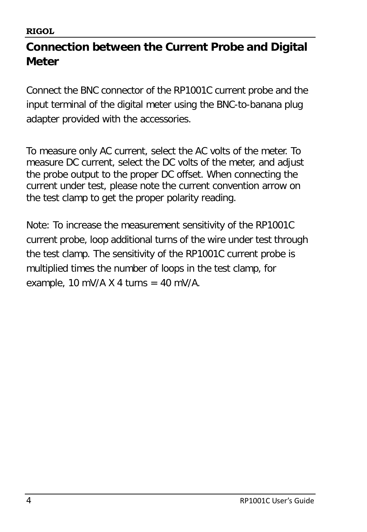### <span id="page-12-0"></span>**Connection between the Current Probe and Digital Meter**

Connect the BNC connector of the RP1001C current probe and the input terminal of the digital meter using the BNC-to-banana plug adapter provided with the accessories.

To measure only AC current, select the AC volts of the meter. To measure DC current, select the DC volts of the meter, and adjust the probe output to the proper DC offset. When connecting the current under test, please note the current convention arrow on the test clamp to get the proper polarity reading.

Note: To increase the measurement sensitivity of the RP1001C current probe, loop additional turns of the wire under test through the test clamp. The sensitivity of the RP1001C current probe is multiplied times the number of loops in the test clamp, for example, 10 mV/A  $\times$  4 turns = 40 mV/A.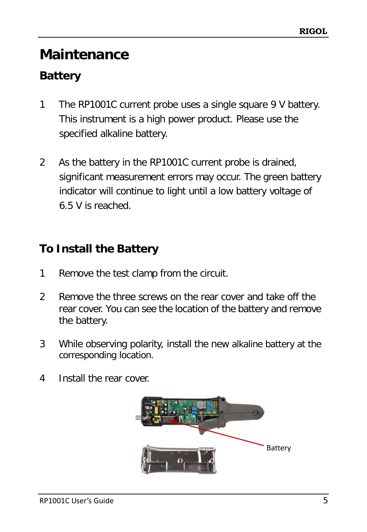# <span id="page-13-0"></span>**Maintenance**

## <span id="page-13-1"></span>**Battery**

- 1 The RP1001C current probe uses a single square 9 V battery. This instrument is a high power product. Please use the specified alkaline battery.
- 2 As the battery in the RP1001C current probe is drained, significant measurement errors may occur. The green battery indicator will continue to light until a low battery voltage of 6.5 V is reached.

### <span id="page-13-2"></span>**To Install the Battery**

- 1 Remove the test clamp from the circuit.
- 2 Remove the three screws on the rear cover and take off the rear cover. You can see the location of the battery and remove the battery.
- 3 While observing polarity, install the new alkaline battery at the corresponding location.
- 4 Install the rear cover.

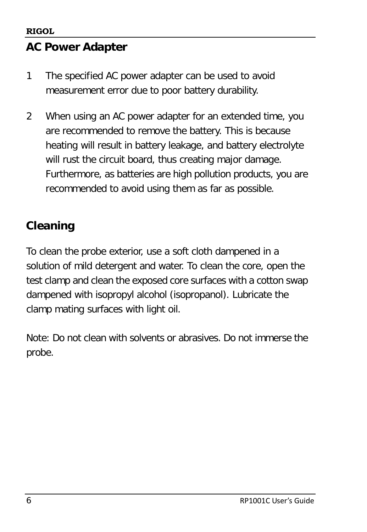### <span id="page-14-0"></span>**AC Power Adapter**

- 1 The specified AC power adapter can be used to avoid measurement error due to poor battery durability.
- 2 When using an AC power adapter for an extended time, you are recommended to remove the battery. This is because heating will result in battery leakage, and battery electrolyte will rust the circuit board, thus creating major damage. Furthermore, as batteries are high pollution products, you are recommended to avoid using them as far as possible.

## <span id="page-14-1"></span>**Cleaning**

To clean the probe exterior, use a soft cloth dampened in a solution of mild detergent and water. To clean the core, open the test clamp and clean the exposed core surfaces with a cotton swap dampened with isopropyl alcohol (isopropanol). Lubricate the clamp mating surfaces with light oil.

Note: Do not clean with solvents or abrasives. Do not immerse the probe.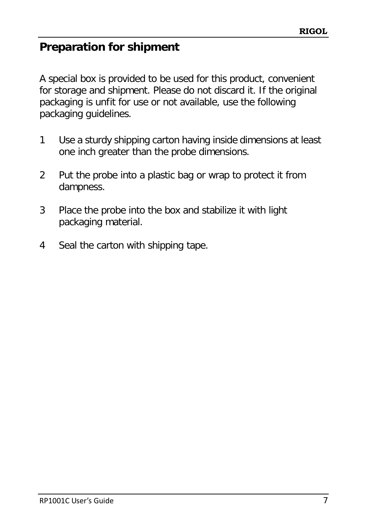### <span id="page-15-0"></span>**Preparation for shipment**

A special box is provided to be used for this product, convenient for storage and shipment. Please do not discard it. If the original packaging is unfit for use or not available, use the following packaging guidelines.

- 1 Use a sturdy shipping carton having inside dimensions at least one inch greater than the probe dimensions.
- 2 Put the probe into a plastic bag or wrap to protect it from dampness.
- 3 Place the probe into the box and stabilize it with light packaging material.
- 4 Seal the carton with shipping tape.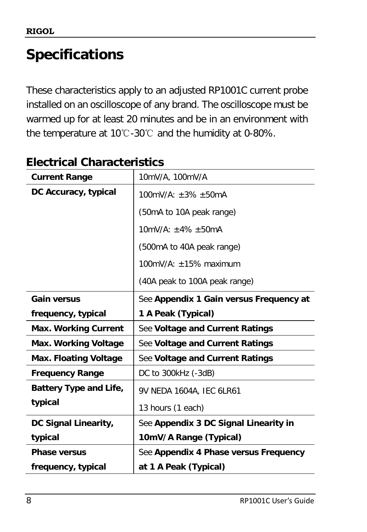# <span id="page-16-0"></span>**Specifications**

These characteristics apply to an adjusted RP1001C current probe installed on an oscilloscope of any brand. The oscilloscope must be warmed up for at least 20 minutes and be in an environment with the temperature at 10℃-30℃ and the humidity at 0-80%.

| <b>Current Range</b>         | 10mV/A, 100mV/A                         |
|------------------------------|-----------------------------------------|
| DC Accuracy, typical         | $100mV/A: +3\% +50mA$                   |
|                              | (50mA to 10A peak range)                |
|                              | $10mV/A: \pm 4\% \pm 50mA$              |
|                              | (500mA to 40A peak range)               |
|                              | 100mV/A: $\pm$ 15% maximum              |
|                              | (40A peak to 100A peak range)           |
| <b>Gain versus</b>           | See Appendix 1 Gain versus Frequency at |
| frequency, typical           | 1 A Peak (Typical)                      |
| <b>Max. Working Current</b>  | See Voltage and Current Ratings         |
| Max. Working Voltage         | See Voltage and Current Ratings         |
| <b>Max. Floating Voltage</b> | See Voltage and Current Ratings         |
|                              |                                         |
| <b>Frequency Range</b>       | DC to 300kHz (-3dB)                     |
| Battery Type and Life,       | 9V NEDA 1604A, IEC 6LR61                |
| typical                      | 13 hours (1 each)                       |
| DC Signal Linearity,         | See Appendix 3 DC Signal Linearity in   |
| typical                      | 10mV/A Range (Typical)                  |
| <b>Phase versus</b>          | See Appendix 4 Phase versus Frequency   |

# <span id="page-16-1"></span>**Electrical Characteristics**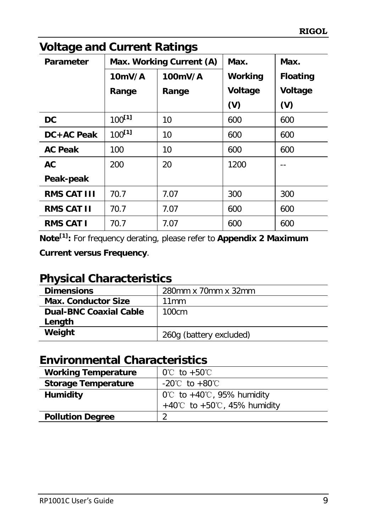| vullaye anu Guneni Katinys |                          |         |         |                 |
|----------------------------|--------------------------|---------|---------|-----------------|
| <b>Parameter</b>           | Max. Working Current (A) |         | Max.    | Max.            |
|                            | 10mV/A                   | 100mV/A | Working | <b>Floating</b> |
|                            | Range                    | Range   | Voltage | Voltage         |
|                            |                          |         | (V)     | (V)             |
| <b>DC</b>                  | $100^{[1]}$              | 10      | 600     | 600             |
| DC+AC Peak                 | $100^{[1]}$              | 10      | 600     | 600             |
| <b>AC Peak</b>             | 100                      | 10      | 600     | 600             |
| AC                         | 200                      | 20      | 1200    |                 |
| Peak-peak                  |                          |         |         |                 |
| <b>RMS CAT III</b>         | 70.7                     | 7.07    | 300     | 300             |
| <b>RMS CAT II</b>          | 70.7                     | 7.07    | 600     | 600             |
| <b>RMS CAT I</b>           | 70.7                     | 7.07    | 600     | 600             |

### <span id="page-17-0"></span>**Voltage and Current Ratings**

**Note[1]:** For frequency derating, please refer to **[Appendix 2 Maximum](#page-20-2)  [Current versus Frequency](#page-20-2)**.

### <span id="page-17-1"></span>**Physical Characteristics**

| <b>Dimensions</b>             | 280mm x 70mm x 32mm     |
|-------------------------------|-------------------------|
| <b>Max. Conductor Size</b>    | 11mm                    |
| <b>Dual-BNC Coaxial Cable</b> | 100cm                   |
| Length                        |                         |
| Weight                        | 260g (battery excluded) |

### <span id="page-17-2"></span>**Environmental Characteristics**

| <b>Working Temperature</b> | $0^{\circ}$ to +50 $^{\circ}$                 |
|----------------------------|-----------------------------------------------|
| <b>Storage Temperature</b> | $-20^{\circ}$ C to $+80^{\circ}$ C            |
| Humidity                   | $0^{\circ}$ to +40 $^{\circ}$ C, 95% humidity |
|                            | +40°C to +50°C, 45% humidity                  |
| <b>Pollution Degree</b>    |                                               |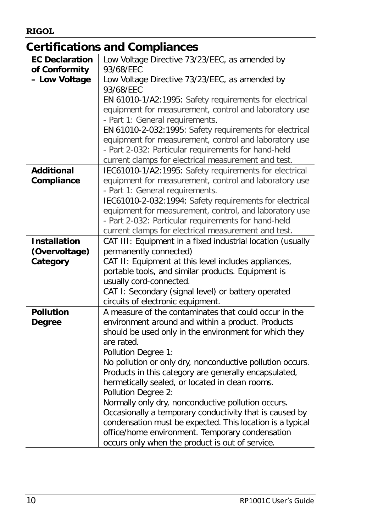### <span id="page-18-0"></span>**Certifications and Compliances**

| <b>EC Declaration</b> | Low Voltage Directive 73/23/EEC, as amended by                                                     |
|-----------------------|----------------------------------------------------------------------------------------------------|
| of Conformity         | 93/68/EEC                                                                                          |
| - Low Voltage         | Low Voltage Directive 73/23/EEC, as amended by                                                     |
|                       | 93/68/EEC                                                                                          |
|                       | EN 61010-1/A2:1995: Safety requirements for electrical                                             |
|                       | equipment for measurement, control and laboratory use                                              |
|                       | - Part 1: General requirements.                                                                    |
|                       | EN 61010-2-032:1995: Safety requirements for electrical                                            |
|                       | equipment for measurement, control and laboratory use                                              |
|                       | - Part 2-032: Particular requirements for hand-held                                                |
|                       | current clamps for electrical measurement and test.                                                |
| <b>Additional</b>     | IEC61010-1/A2:1995: Safety requirements for electrical                                             |
| Compliance            | equipment for measurement, control and laboratory use                                              |
|                       | - Part 1: General requirements.                                                                    |
|                       | IEC61010-2-032:1994: Safety requirements for electrical                                            |
|                       | equipment for measurement, control, and laboratory use                                             |
|                       | - Part 2-032: Particular requirements for hand-held                                                |
|                       | current clamps for electrical measurement and test.                                                |
| <b>Installation</b>   | CAT III: Equipment in a fixed industrial location (usually                                         |
| (Overvoltage)         | permanently connected)                                                                             |
| Category              | CAT II: Equipment at this level includes appliances,                                               |
|                       | portable tools, and similar products. Equipment is                                                 |
|                       | usually cord-connected.                                                                            |
|                       | CAT I: Secondary (signal level) or battery operated                                                |
|                       | circuits of electronic equipment.                                                                  |
| <b>Pollution</b>      | A measure of the contaminates that could occur in the                                              |
| <b>Degree</b>         | environment around and within a product. Products                                                  |
|                       | should be used only in the environment for which they                                              |
|                       | are rated.                                                                                         |
|                       | Pollution Degree 1:                                                                                |
|                       | No pollution or only dry, nonconductive pollution occurs.                                          |
|                       | Products in this category are generally encapsulated,                                              |
|                       | hermetically sealed, or located in clean rooms.                                                    |
|                       | Pollution Degree 2:                                                                                |
|                       | Normally only dry, nonconductive pollution occurs.                                                 |
|                       | Occasionally a temporary conductivity that is caused by                                            |
|                       |                                                                                                    |
|                       | condensation must be expected. This location is a typical                                          |
|                       | office/home environment. Temporary condensation<br>occurs only when the product is out of service. |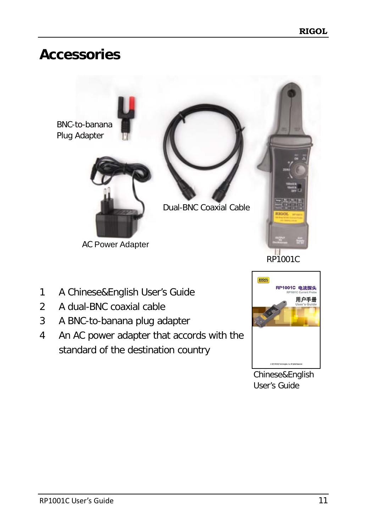# <span id="page-19-0"></span>**Accessories**



RP1001C

- 1 A Chinese&English User's Guide
- 2 A dual-BNC coaxial cable
- 3 A BNC-to-banana plug adapter
- 4 An AC power adapter that accords with the standard of the destination country



Chinese&English User's Guide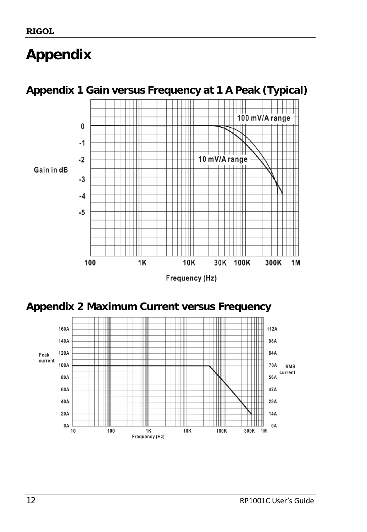# <span id="page-20-0"></span>**Appendix**



<span id="page-20-1"></span>**Appendix 1 Gain versus Frequency at 1 A Peak (Typical)**

Frequency (Hz)

<span id="page-20-2"></span>